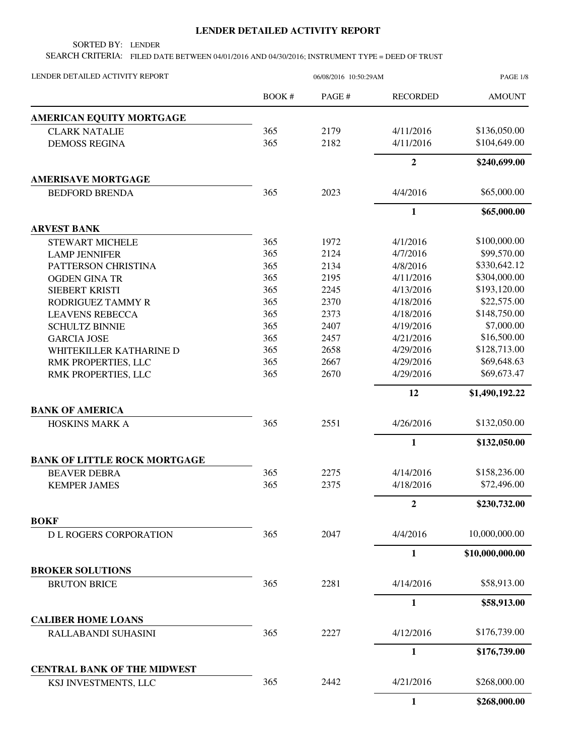## **LENDER DETAILED ACTIVITY REPORT**

SORTED BY: LENDER

SEARCH CRITERIA: FILED DATE BETWEEN 04/01/2016 AND 04/30/2016; INSTRUMENT TYPE = DEED OF TRUST

| LENDER DETAILED ACTIVITY REPORT                            | 06/08/2016 10:50:29AM |        |                 | PAGE 1/8        |
|------------------------------------------------------------|-----------------------|--------|-----------------|-----------------|
|                                                            | BOOK #                | PAGE # | <b>RECORDED</b> | <b>AMOUNT</b>   |
| AMERICAN EQUITY MORTGAGE                                   |                       |        |                 |                 |
| <b>CLARK NATALIE</b>                                       | 365                   | 2179   | 4/11/2016       | \$136,050.00    |
| <b>DEMOSS REGINA</b>                                       | 365                   | 2182   | 4/11/2016       | \$104,649.00    |
|                                                            |                       |        | $\overline{2}$  | \$240,699.00    |
| <b>AMERISAVE MORTGAGE</b>                                  |                       |        |                 |                 |
| <b>BEDFORD BRENDA</b>                                      | 365                   | 2023   | 4/4/2016        | \$65,000.00     |
|                                                            |                       |        | $\mathbf{1}$    | \$65,000.00     |
| <b>ARVEST BANK</b>                                         |                       |        |                 |                 |
| <b>STEWART MICHELE</b>                                     | 365                   | 1972   | 4/1/2016        | \$100,000.00    |
| <b>LAMP JENNIFER</b>                                       | 365                   | 2124   | 4/7/2016        | \$99,570.00     |
| PATTERSON CHRISTINA                                        | 365                   | 2134   | 4/8/2016        | \$330,642.12    |
| <b>OGDEN GINA TR</b>                                       | 365                   | 2195   | 4/11/2016       | \$304,000.00    |
| SIEBERT KRISTI                                             | 365                   | 2245   | 4/13/2016       | \$193,120.00    |
| RODRIGUEZ TAMMY R                                          | 365                   | 2370   | 4/18/2016       | \$22,575.00     |
| <b>LEAVENS REBECCA</b>                                     | 365                   | 2373   | 4/18/2016       | \$148,750.00    |
| <b>SCHULTZ BINNIE</b>                                      | 365                   | 2407   | 4/19/2016       | \$7,000.00      |
| <b>GARCIA JOSE</b>                                         | 365                   | 2457   | 4/21/2016       | \$16,500.00     |
| WHITEKILLER KATHARINE D                                    | 365                   | 2658   | 4/29/2016       | \$128,713.00    |
| RMK PROPERTIES, LLC                                        | 365                   | 2667   | 4/29/2016       | \$69,648.63     |
| RMK PROPERTIES, LLC                                        | 365                   | 2670   | 4/29/2016       | \$69,673.47     |
|                                                            |                       |        | 12              | \$1,490,192.22  |
| <b>BANK OF AMERICA</b>                                     |                       |        |                 |                 |
| HOSKINS MARK A                                             | 365                   | 2551   | 4/26/2016       | \$132,050.00    |
|                                                            |                       |        | 1               | \$132,050.00    |
| <b>BANK OF LITTLE ROCK MORTGAGE</b>                        |                       |        |                 |                 |
| <b>BEAVER DEBRA</b>                                        | 365                   | 2275   | 4/14/2016       | \$158,236.00    |
| <b>KEMPER JAMES</b>                                        | 365                   | 2375   | 4/18/2016       | \$72,496.00     |
|                                                            |                       |        | 2               | \$230,732.00    |
| <b>BOKF</b>                                                | 365                   | 2047   | 4/4/2016        | 10,000,000.00   |
| <b>DL ROGERS CORPORATION</b>                               |                       |        |                 |                 |
| <b>BROKER SOLUTIONS</b>                                    |                       |        | 1               | \$10,000,000.00 |
| <b>BRUTON BRICE</b>                                        | 365                   | 2281   | 4/14/2016       | \$58,913.00     |
|                                                            |                       |        |                 |                 |
| <b>CALIBER HOME LOANS</b>                                  |                       |        | 1               | \$58,913.00     |
|                                                            |                       | 2227   | 4/12/2016       | \$176,739.00    |
| RALLABANDI SUHASINI                                        | 365                   |        |                 |                 |
|                                                            |                       |        | $\mathbf{1}$    | \$176,739.00    |
| <b>CENTRAL BANK OF THE MIDWEST</b><br>KSJ INVESTMENTS, LLC | 365                   | 2442   | 4/21/2016       | \$268,000.00    |
|                                                            |                       |        | 1               | \$268,000.00    |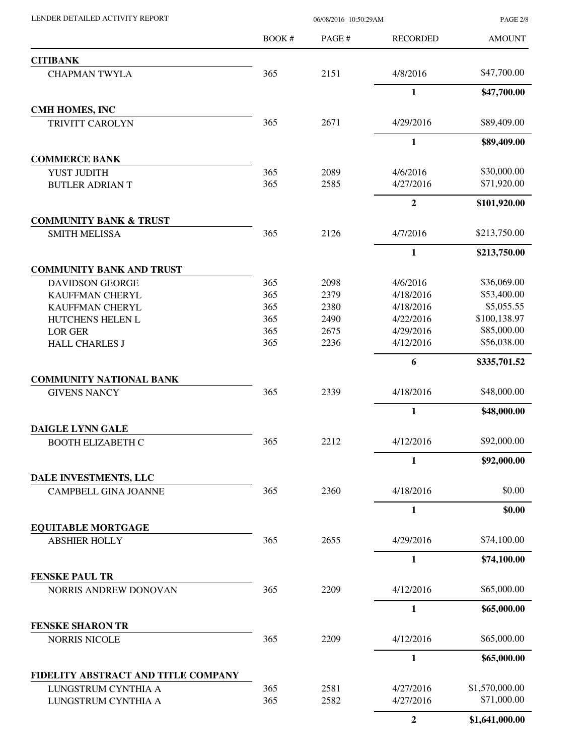LENDER DETAILED ACTIVITY REPORT 06/08/2016 10:50:29AM

PAGE 2/8

|                                                      | BOOK# | PAGE# | <b>RECORDED</b>  | <b>AMOUNT</b>  |
|------------------------------------------------------|-------|-------|------------------|----------------|
| <b>CITIBANK</b>                                      |       |       |                  |                |
| <b>CHAPMAN TWYLA</b>                                 | 365   | 2151  | 4/8/2016         | \$47,700.00    |
|                                                      |       |       | $\mathbf{1}$     | \$47,700.00    |
| <b>CMH HOMES, INC</b>                                |       |       |                  |                |
| <b>TRIVITT CAROLYN</b>                               | 365   | 2671  | 4/29/2016        | \$89,409.00    |
|                                                      |       |       | $\mathbf{1}$     | \$89,409.00    |
| <b>COMMERCE BANK</b>                                 |       |       |                  |                |
| YUST JUDITH                                          | 365   | 2089  | 4/6/2016         | \$30,000.00    |
| <b>BUTLER ADRIAN T</b>                               | 365   | 2585  | 4/27/2016        | \$71,920.00    |
|                                                      |       |       | $\overline{2}$   | \$101,920.00   |
| <b>COMMUNITY BANK &amp; TRUST</b>                    |       |       |                  |                |
| <b>SMITH MELISSA</b>                                 | 365   | 2126  | 4/7/2016         | \$213,750.00   |
|                                                      |       |       | $\mathbf{1}$     | \$213,750.00   |
| <b>COMMUNITY BANK AND TRUST</b>                      |       |       |                  |                |
| <b>DAVIDSON GEORGE</b>                               | 365   | 2098  | 4/6/2016         | \$36,069.00    |
| <b>KAUFFMAN CHERYL</b>                               | 365   | 2379  | 4/18/2016        | \$53,400.00    |
| <b>KAUFFMAN CHERYL</b>                               | 365   | 2380  | 4/18/2016        | \$5,055.55     |
| HUTCHENS HELEN L                                     | 365   | 2490  | 4/22/2016        | \$100,138.97   |
| <b>LOR GER</b>                                       | 365   | 2675  | 4/29/2016        | \$85,000.00    |
| <b>HALL CHARLES J</b>                                | 365   | 2236  | 4/12/2016        | \$56,038.00    |
|                                                      |       |       | 6                | \$335,701.52   |
| <b>COMMUNITY NATIONAL BANK</b>                       |       |       |                  |                |
| <b>GIVENS NANCY</b>                                  | 365   | 2339  | 4/18/2016        | \$48,000.00    |
|                                                      |       |       | $\mathbf{1}$     | \$48,000.00    |
| <b>DAIGLE LYNN GALE</b>                              |       |       |                  |                |
| <b>BOOTH ELIZABETH C</b>                             | 365   | 2212  | 4/12/2016        | \$92,000.00    |
|                                                      |       |       | $\mathbf{1}$     | \$92,000.00    |
| DALE INVESTMENTS, LLC<br><b>CAMPBELL GINA JOANNE</b> | 365   | 2360  | 4/18/2016        | \$0.00         |
|                                                      |       |       | $\mathbf{1}$     | \$0.00         |
| <b>EQUITABLE MORTGAGE</b>                            |       |       |                  |                |
| <b>ABSHIER HOLLY</b>                                 | 365   | 2655  | 4/29/2016        | \$74,100.00    |
|                                                      |       |       | 1                | \$74,100.00    |
| <b>FENSKE PAUL TR</b>                                |       |       |                  |                |
| NORRIS ANDREW DONOVAN                                | 365   | 2209  | 4/12/2016        | \$65,000.00    |
|                                                      |       |       | $\mathbf{1}$     | \$65,000.00    |
| <b>FENSKE SHARON TR</b>                              |       |       |                  |                |
| <b>NORRIS NICOLE</b>                                 | 365   | 2209  | 4/12/2016        | \$65,000.00    |
|                                                      |       |       | $\mathbf{1}$     | \$65,000.00    |
| FIDELITY ABSTRACT AND TITLE COMPANY                  |       |       |                  |                |
| LUNGSTRUM CYNTHIA A                                  | 365   | 2581  | 4/27/2016        | \$1,570,000.00 |
| LUNGSTRUM CYNTHIA A                                  | 365   | 2582  | 4/27/2016        | \$71,000.00    |
|                                                      |       |       | $\boldsymbol{2}$ | \$1,641,000.00 |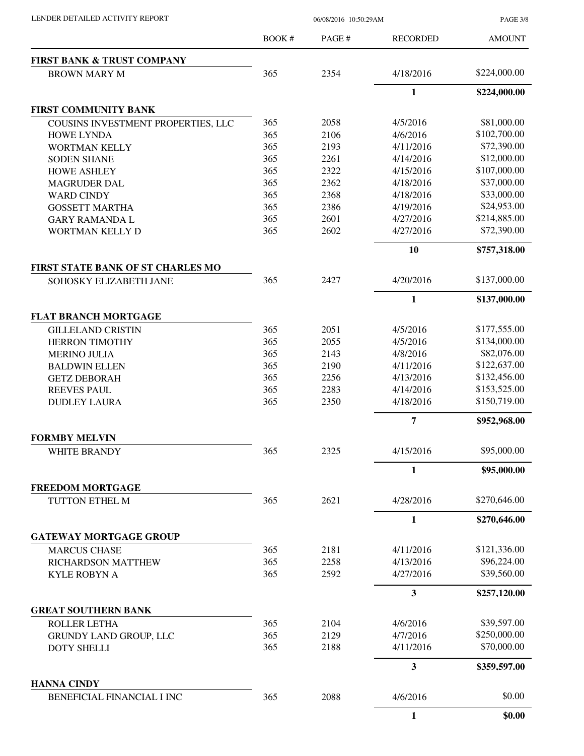PAGE 3/8

|                                                         | BOOK # | PAGE # | <b>RECORDED</b>         | <b>AMOUNT</b> |
|---------------------------------------------------------|--------|--------|-------------------------|---------------|
| <b>FIRST BANK &amp; TRUST COMPANY</b>                   |        |        |                         |               |
| <b>BROWN MARY M</b>                                     | 365    | 2354   | 4/18/2016               | \$224,000.00  |
|                                                         |        |        | $\mathbf{1}$            | \$224,000.00  |
| FIRST COMMUNITY BANK                                    |        |        |                         |               |
| COUSINS INVESTMENT PROPERTIES, LLC                      | 365    | 2058   | 4/5/2016                | \$81,000.00   |
| <b>HOWE LYNDA</b>                                       | 365    | 2106   | 4/6/2016                | \$102,700.00  |
| <b>WORTMAN KELLY</b>                                    | 365    | 2193   | 4/11/2016               | \$72,390.00   |
| <b>SODEN SHANE</b>                                      | 365    | 2261   | 4/14/2016               | \$12,000.00   |
| <b>HOWE ASHLEY</b>                                      | 365    | 2322   | 4/15/2016               | \$107,000.00  |
| <b>MAGRUDER DAL</b>                                     | 365    | 2362   | 4/18/2016               | \$37,000.00   |
| <b>WARD CINDY</b>                                       | 365    | 2368   | 4/18/2016               | \$33,000.00   |
| <b>GOSSETT MARTHA</b>                                   | 365    | 2386   | 4/19/2016               | \$24,953.00   |
| <b>GARY RAMANDA L</b>                                   | 365    | 2601   | 4/27/2016               | \$214,885.00  |
| WORTMAN KELLY D                                         | 365    | 2602   | 4/27/2016               | \$72,390.00   |
|                                                         |        |        | 10                      | \$757,318.00  |
| FIRST STATE BANK OF ST CHARLES MO                       |        |        |                         |               |
| SOHOSKY ELIZABETH JANE                                  | 365    | 2427   | 4/20/2016               | \$137,000.00  |
|                                                         |        |        | $\mathbf{1}$            | \$137,000.00  |
| <b>FLAT BRANCH MORTGAGE</b>                             |        |        |                         |               |
| <b>GILLELAND CRISTIN</b>                                | 365    | 2051   | 4/5/2016                | \$177,555.00  |
| <b>HERRON TIMOTHY</b>                                   | 365    | 2055   | 4/5/2016                | \$134,000.00  |
| <b>MERINO JULIA</b>                                     | 365    | 2143   | 4/8/2016                | \$82,076.00   |
| <b>BALDWIN ELLEN</b>                                    | 365    | 2190   | 4/11/2016               | \$122,637.00  |
| <b>GETZ DEBORAH</b>                                     | 365    | 2256   | 4/13/2016               | \$132,456.00  |
| <b>REEVES PAUL</b>                                      | 365    | 2283   | 4/14/2016               | \$153,525.00  |
| <b>DUDLEY LAURA</b>                                     | 365    | 2350   | 4/18/2016               | \$150,719.00  |
|                                                         |        |        | $\overline{7}$          | \$952,968.00  |
| <b>FORMBY MELVIN</b>                                    |        |        |                         |               |
| <b>WHITE BRANDY</b>                                     | 365    | 2325   | 4/15/2016               | \$95,000.00   |
|                                                         |        |        | $\mathbf{1}$            | \$95,000.00   |
| <b>FREEDOM MORTGAGE</b><br>TUTTON ETHEL M               | 365    | 2621   | 4/28/2016               | \$270,646.00  |
|                                                         |        |        |                         |               |
|                                                         |        |        | 1                       | \$270,646.00  |
| <b>GATEWAY MORTGAGE GROUP</b>                           |        |        |                         |               |
| <b>MARCUS CHASE</b>                                     | 365    | 2181   | 4/11/2016               | \$121,336.00  |
| <b>RICHARDSON MATTHEW</b>                               | 365    | 2258   | 4/13/2016               | \$96,224.00   |
| <b>KYLE ROBYN A</b>                                     | 365    | 2592   | 4/27/2016               | \$39,560.00   |
|                                                         |        |        | $\mathbf{3}$            | \$257,120.00  |
| <b>GREAT SOUTHERN BANK</b>                              |        |        |                         |               |
| <b>ROLLER LETHA</b>                                     | 365    | 2104   | 4/6/2016                | \$39,597.00   |
| GRUNDY LAND GROUP, LLC                                  | 365    | 2129   | 4/7/2016                | \$250,000.00  |
| <b>DOTY SHELLI</b>                                      | 365    | 2188   | 4/11/2016               | \$70,000.00   |
|                                                         |        |        | $\overline{\mathbf{3}}$ | \$359,597.00  |
| <b>HANNA CINDY</b><br><b>BENEFICIAL FINANCIAL I INC</b> | 365    | 2088   | 4/6/2016                | \$0.00        |
|                                                         |        |        |                         |               |
|                                                         |        |        | 1                       | \$0.00        |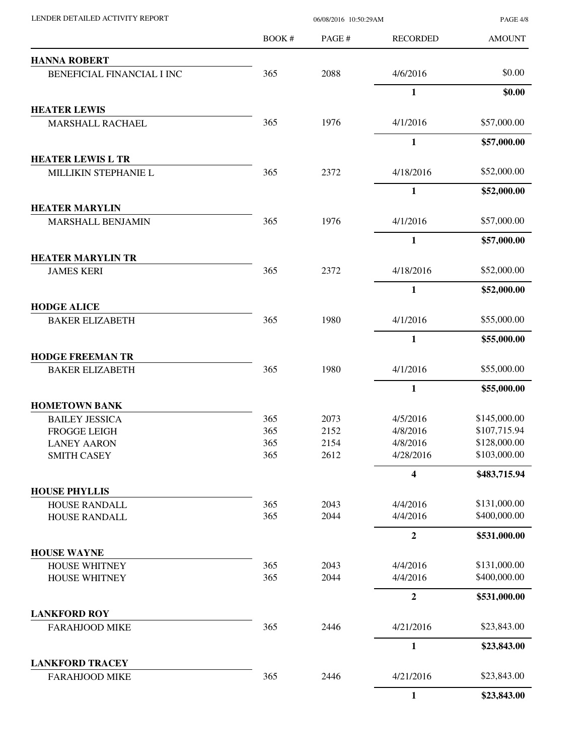| LENDER DETAILED ACTIVITY REPORT                 | 06/08/2016 10:50:29AM |        |                  | <b>PAGE 4/8</b> |
|-------------------------------------------------|-----------------------|--------|------------------|-----------------|
|                                                 | BOOK #                | PAGE # | <b>RECORDED</b>  | <b>AMOUNT</b>   |
| <b>HANNA ROBERT</b>                             |                       |        |                  |                 |
| BENEFICIAL FINANCIAL I INC                      | 365                   | 2088   | 4/6/2016         | \$0.00          |
|                                                 |                       |        | $\mathbf{1}$     | \$0.00          |
| <b>HEATER LEWIS</b>                             |                       |        |                  |                 |
| <b>MARSHALL RACHAEL</b>                         | 365                   | 1976   | 4/1/2016         | \$57,000.00     |
|                                                 |                       |        | 1                | \$57,000.00     |
| <b>HEATER LEWIS L TR</b>                        |                       |        |                  |                 |
| MILLIKIN STEPHANIE L                            | 365                   | 2372   | 4/18/2016        | \$52,000.00     |
|                                                 |                       |        | 1                | \$52,000.00     |
| <b>HEATER MARYLIN</b>                           |                       |        |                  |                 |
| <b>MARSHALL BENJAMIN</b>                        | 365                   | 1976   | 4/1/2016         | \$57,000.00     |
|                                                 |                       |        | 1                | \$57,000.00     |
| <b>HEATER MARYLIN TR</b><br><b>JAMES KERI</b>   | 365                   | 2372   | 4/18/2016        | \$52,000.00     |
|                                                 |                       |        | 1                | \$52,000.00     |
|                                                 |                       |        |                  |                 |
| <b>HODGE ALICE</b><br><b>BAKER ELIZABETH</b>    | 365                   | 1980   | 4/1/2016         | \$55,000.00     |
|                                                 |                       |        | 1                | \$55,000.00     |
| <b>HODGE FREEMAN TR</b>                         |                       |        |                  |                 |
| <b>BAKER ELIZABETH</b>                          | 365                   | 1980   | 4/1/2016         | \$55,000.00     |
|                                                 |                       |        | $\mathbf{1}$     | \$55,000.00     |
| <b>HOMETOWN BANK</b>                            |                       |        |                  |                 |
| <b>BAILEY JESSICA</b>                           | 365                   | 2073   | 4/5/2016         | \$145,000.00    |
| <b>FROGGE LEIGH</b>                             | 365                   | 2152   | 4/8/2016         | \$107,715.94    |
| <b>LANEY AARON</b>                              | 365                   | 2154   | 4/8/2016         | \$128,000.00    |
| <b>SMITH CASEY</b>                              | 365                   | 2612   | 4/28/2016        | \$103,000.00    |
|                                                 |                       |        | 4                | \$483,715.94    |
| <b>HOUSE PHYLLIS</b><br>HOUSE RANDALL           | 365                   | 2043   | 4/4/2016         | \$131,000.00    |
| HOUSE RANDALL                                   | 365                   | 2044   | 4/4/2016         | \$400,000.00    |
|                                                 |                       |        | $\boldsymbol{2}$ | \$531,000.00    |
| <b>HOUSE WAYNE</b>                              |                       |        |                  |                 |
| <b>HOUSE WHITNEY</b>                            | 365                   | 2043   | 4/4/2016         | \$131,000.00    |
| <b>HOUSE WHITNEY</b>                            | 365                   | 2044   | 4/4/2016         | \$400,000.00    |
|                                                 |                       |        | $\overline{2}$   | \$531,000.00    |
| <b>LANKFORD ROY</b>                             |                       |        |                  |                 |
| <b>FARAHJOOD MIKE</b>                           | 365                   | 2446   | 4/21/2016        | \$23,843.00     |
|                                                 |                       |        | 1                | \$23,843.00     |
| <b>LANKFORD TRACEY</b><br><b>FARAHJOOD MIKE</b> | 365                   | 2446   | 4/21/2016        | \$23,843.00     |
|                                                 |                       |        | $\mathbf{1}$     | \$23,843.00     |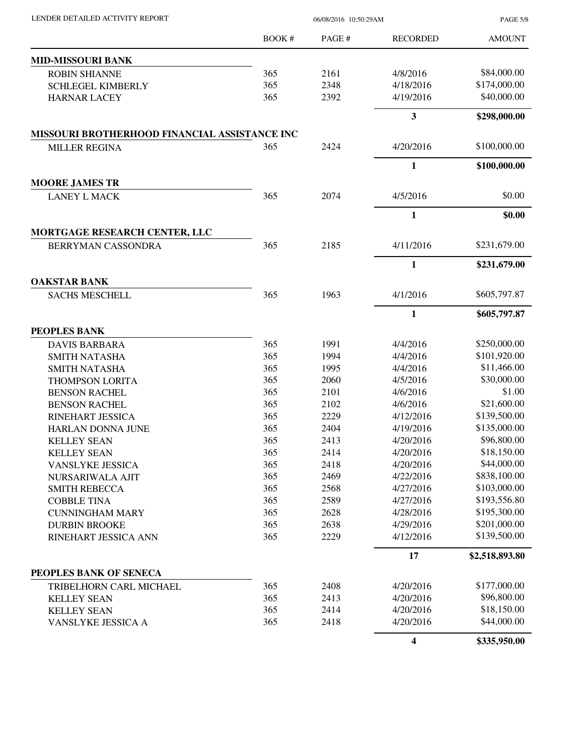| LENDER DETAILED ACTIVITY REPORT |  |
|---------------------------------|--|

06/08/2016 10:50:29AM

PAGE 5/8

|                                               | BOOK# | PAGE# | <b>RECORDED</b>         | <b>AMOUNT</b>  |
|-----------------------------------------------|-------|-------|-------------------------|----------------|
| <b>MID-MISSOURI BANK</b>                      |       |       |                         |                |
| <b>ROBIN SHIANNE</b>                          | 365   | 2161  | 4/8/2016                | \$84,000.00    |
| <b>SCHLEGEL KIMBERLY</b>                      | 365   | 2348  | 4/18/2016               | \$174,000.00   |
| <b>HARNAR LACEY</b>                           | 365   | 2392  | 4/19/2016               | \$40,000.00    |
|                                               |       |       | $\mathbf{3}$            | \$298,000.00   |
| MISSOURI BROTHERHOOD FINANCIAL ASSISTANCE INC |       |       |                         |                |
| <b>MILLER REGINA</b>                          | 365   | 2424  | 4/20/2016               | \$100,000.00   |
|                                               |       |       | $\mathbf{1}$            | \$100,000.00   |
| <b>MOORE JAMES TR</b>                         |       |       |                         |                |
| <b>LANEY L MACK</b>                           | 365   | 2074  | 4/5/2016                | \$0.00         |
|                                               |       |       | 1                       | \$0.00         |
| MORTGAGE RESEARCH CENTER, LLC                 |       |       |                         |                |
| BERRYMAN CASSONDRA                            | 365   | 2185  | 4/11/2016               | \$231,679.00   |
|                                               |       |       | $\mathbf{1}$            | \$231,679.00   |
| <b>OAKSTAR BANK</b>                           |       |       |                         |                |
| <b>SACHS MESCHELL</b>                         | 365   | 1963  | 4/1/2016                | \$605,797.87   |
|                                               |       |       | 1                       | \$605,797.87   |
| PEOPLES BANK                                  |       |       |                         |                |
| <b>DAVIS BARBARA</b>                          | 365   | 1991  | 4/4/2016                | \$250,000.00   |
| <b>SMITH NATASHA</b>                          | 365   | 1994  | 4/4/2016                | \$101,920.00   |
| <b>SMITH NATASHA</b>                          | 365   | 1995  | 4/4/2016                | \$11,466.00    |
| THOMPSON LORITA                               | 365   | 2060  | 4/5/2016                | \$30,000.00    |
| <b>BENSON RACHEL</b>                          | 365   | 2101  | 4/6/2016                | \$1.00         |
| <b>BENSON RACHEL</b>                          | 365   | 2102  | 4/6/2016                | \$21,600.00    |
| RINEHART JESSICA                              | 365   | 2229  | 4/12/2016               | \$139,500.00   |
| <b>HARLAN DONNA JUNE</b>                      | 365   | 2404  | 4/19/2016               | \$135,000.00   |
| <b>KELLEY SEAN</b>                            | 365   | 2413  | 4/20/2016               | \$96,800.00    |
| <b>KELLEY SEAN</b>                            | 365   | 2414  | 4/20/2016               | \$18,150.00    |
| <b>VANSLYKE JESSICA</b>                       | 365   | 2418  | 4/20/2016               | \$44,000.00    |
| NURSARIWALA AJIT                              | 365   | 2469  | 4/22/2016               | \$838,100.00   |
| <b>SMITH REBECCA</b>                          | 365   | 2568  | 4/27/2016               | \$103,000.00   |
| <b>COBBLE TINA</b>                            | 365   | 2589  | 4/27/2016               | \$193,556.80   |
| <b>CUNNINGHAM MARY</b>                        | 365   | 2628  | 4/28/2016               | \$195,300.00   |
| <b>DURBIN BROOKE</b>                          | 365   | 2638  | 4/29/2016               | \$201,000.00   |
| RINEHART JESSICA ANN                          | 365   | 2229  | 4/12/2016               | \$139,500.00   |
|                                               |       |       | 17                      | \$2,518,893.80 |
| PEOPLES BANK OF SENECA                        |       |       |                         |                |
| TRIBELHORN CARL MICHAEL                       | 365   | 2408  | 4/20/2016               | \$177,000.00   |
| <b>KELLEY SEAN</b>                            | 365   | 2413  | 4/20/2016               | \$96,800.00    |
| <b>KELLEY SEAN</b>                            | 365   | 2414  | 4/20/2016               | \$18,150.00    |
| VANSLYKE JESSICA A                            | 365   | 2418  | 4/20/2016               | \$44,000.00    |
|                                               |       |       | $\overline{\mathbf{4}}$ | \$335,950.00   |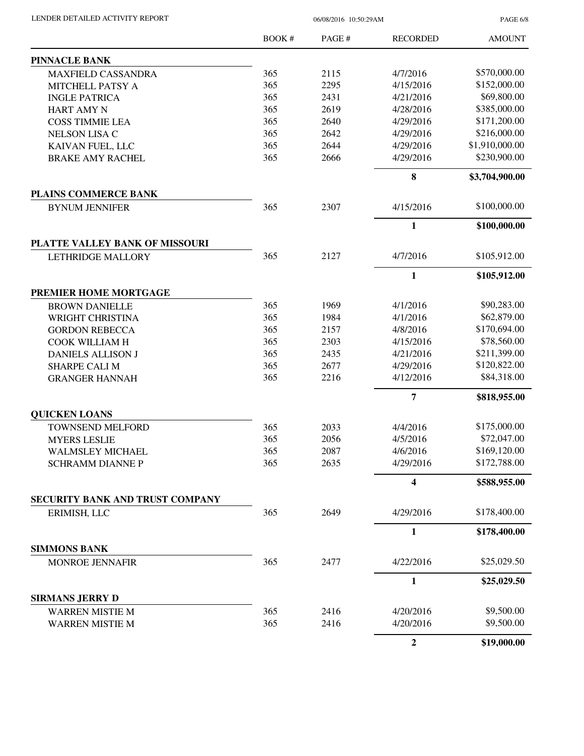| LENDER DETAILED ACTIVITY REPORT |  |
|---------------------------------|--|
|                                 |  |

06/08/2016 10:50:29AM

PAGE 6/8

|                                         | <b>BOOK#</b> | PAGE# | <b>RECORDED</b>         | <b>AMOUNT</b>  |
|-----------------------------------------|--------------|-------|-------------------------|----------------|
| <b>PINNACLE BANK</b>                    |              |       |                         |                |
| <b>MAXFIELD CASSANDRA</b>               | 365          | 2115  | 4/7/2016                | \$570,000.00   |
| MITCHELL PATSY A                        | 365          | 2295  | 4/15/2016               | \$152,000.00   |
| <b>INGLE PATRICA</b>                    | 365          | 2431  | 4/21/2016               | \$69,800.00    |
| <b>HART AMY N</b>                       | 365          | 2619  | 4/28/2016               | \$385,000.00   |
| <b>COSS TIMMIE LEA</b>                  | 365          | 2640  | 4/29/2016               | \$171,200.00   |
| <b>NELSON LISA C</b>                    | 365          | 2642  | 4/29/2016               | \$216,000.00   |
| KAIVAN FUEL, LLC                        | 365          | 2644  | 4/29/2016               | \$1,910,000.00 |
| <b>BRAKE AMY RACHEL</b>                 | 365          | 2666  | 4/29/2016               | \$230,900.00   |
|                                         |              |       | 8                       | \$3,704,900.00 |
| PLAINS COMMERCE BANK                    |              |       |                         |                |
| <b>BYNUM JENNIFER</b>                   | 365          | 2307  | 4/15/2016               | \$100,000.00   |
|                                         |              |       | $\mathbf{1}$            | \$100,000.00   |
| PLATTE VALLEY BANK OF MISSOURI          |              |       |                         |                |
| LETHRIDGE MALLORY                       | 365          | 2127  | 4/7/2016                | \$105,912.00   |
|                                         |              |       | $\mathbf{1}$            | \$105,912.00   |
| PREMIER HOME MORTGAGE                   |              |       |                         |                |
| <b>BROWN DANIELLE</b>                   | 365          | 1969  | 4/1/2016                | \$90,283.00    |
| WRIGHT CHRISTINA                        | 365          | 1984  | 4/1/2016                | \$62,879.00    |
|                                         | 365          | 2157  | 4/8/2016                | \$170,694.00   |
| <b>GORDON REBECCA</b><br>COOK WILLIAM H | 365          | 2303  | 4/15/2016               | \$78,560.00    |
|                                         | 365          | 2435  | 4/21/2016               | \$211,399.00   |
| <b>DANIELS ALLISON J</b>                | 365          | 2677  | 4/29/2016               | \$120,822.00   |
| <b>SHARPE CALI M</b>                    | 365          | 2216  | 4/12/2016               | \$84,318.00    |
| <b>GRANGER HANNAH</b>                   |              |       |                         |                |
|                                         |              |       | $\overline{7}$          | \$818,955.00   |
| <b>QUICKEN LOANS</b>                    |              |       |                         |                |
| <b>TOWNSEND MELFORD</b>                 | 365          | 2033  | 4/4/2016                | \$175,000.00   |
| <b>MYERS LESLIE</b>                     | 365          | 2056  | 4/5/2016                | \$72,047.00    |
| WALMSLEY MICHAEL                        | 365          | 2087  | 4/6/2016                | \$169,120.00   |
| <b>SCHRAMM DIANNE P</b>                 | 365          | 2635  | 4/29/2016               | \$172,788.00   |
|                                         |              |       | $\overline{\mathbf{4}}$ | \$588,955.00   |
| SECURITY BANK AND TRUST COMPANY         |              |       |                         |                |
| ERIMISH, LLC                            | 365          | 2649  | 4/29/2016               | \$178,400.00   |
|                                         |              |       | 1                       | \$178,400.00   |
| <b>SIMMONS BANK</b>                     |              |       |                         |                |
| <b>MONROE JENNAFIR</b>                  | 365          | 2477  | 4/22/2016               | \$25,029.50    |
|                                         |              |       | $\mathbf{1}$            | \$25,029.50    |
| <b>SIRMANS JERRY D</b>                  |              |       |                         |                |
| <b>WARREN MISTIE M</b>                  | 365          | 2416  | 4/20/2016               | \$9,500.00     |
| WARREN MISTIE M                         | 365          | 2416  | 4/20/2016               | \$9,500.00     |
|                                         |              |       | $\overline{2}$          | \$19,000.00    |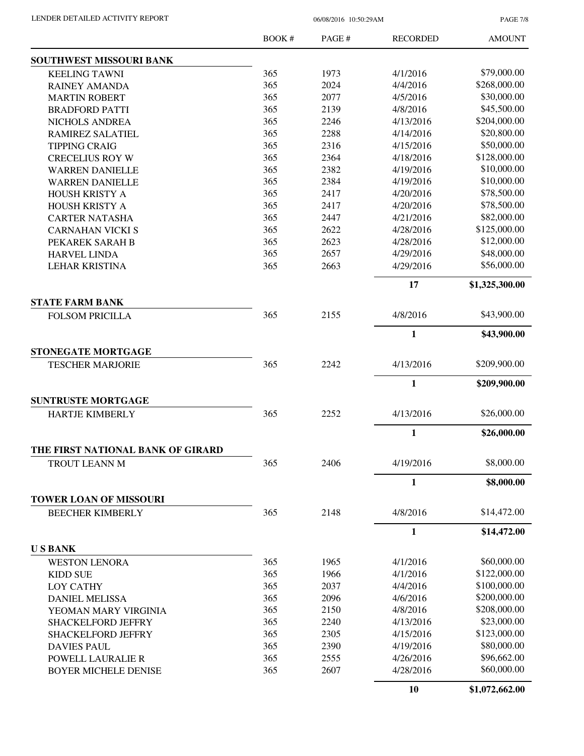PAGE 7/8

|                                   | BOOK # | PAGE# | <b>RECORDED</b> | <b>AMOUNT</b>  |
|-----------------------------------|--------|-------|-----------------|----------------|
| SOUTHWEST MISSOURI BANK           |        |       |                 |                |
| <b>KEELING TAWNI</b>              | 365    | 1973  | 4/1/2016        | \$79,000.00    |
| <b>RAINEY AMANDA</b>              | 365    | 2024  | 4/4/2016        | \$268,000.00   |
| <b>MARTIN ROBERT</b>              | 365    | 2077  | 4/5/2016        | \$30,000.00    |
| <b>BRADFORD PATTI</b>             | 365    | 2139  | 4/8/2016        | \$45,500.00    |
| NICHOLS ANDREA                    | 365    | 2246  | 4/13/2016       | \$204,000.00   |
| RAMIREZ SALATIEL                  | 365    | 2288  | 4/14/2016       | \$20,800.00    |
| <b>TIPPING CRAIG</b>              | 365    | 2316  | 4/15/2016       | \$50,000.00    |
| <b>CRECELIUS ROY W</b>            | 365    | 2364  | 4/18/2016       | \$128,000.00   |
| <b>WARREN DANIELLE</b>            | 365    | 2382  | 4/19/2016       | \$10,000.00    |
| <b>WARREN DANIELLE</b>            | 365    | 2384  | 4/19/2016       | \$10,000.00    |
| <b>HOUSH KRISTY A</b>             | 365    | 2417  | 4/20/2016       | \$78,500.00    |
| HOUSH KRISTY A                    | 365    | 2417  | 4/20/2016       | \$78,500.00    |
| <b>CARTER NATASHA</b>             | 365    | 2447  | 4/21/2016       | \$82,000.00    |
| <b>CARNAHAN VICKI S</b>           | 365    | 2622  | 4/28/2016       | \$125,000.00   |
| PEKAREK SARAH B                   | 365    | 2623  | 4/28/2016       | \$12,000.00    |
| <b>HARVEL LINDA</b>               | 365    | 2657  | 4/29/2016       | \$48,000.00    |
| <b>LEHAR KRISTINA</b>             | 365    | 2663  | 4/29/2016       | \$56,000.00    |
|                                   |        |       | 17              | \$1,325,300.00 |
| <b>STATE FARM BANK</b>            |        |       |                 |                |
| <b>FOLSOM PRICILLA</b>            | 365    | 2155  | 4/8/2016        | \$43,900.00    |
|                                   |        |       | 1               | \$43,900.00    |
| STONEGATE MORTGAGE                |        |       |                 |                |
| <b>TESCHER MARJORIE</b>           | 365    | 2242  | 4/13/2016       | \$209,900.00   |
|                                   |        |       | $\mathbf{1}$    | \$209,900.00   |
| <b>SUNTRUSTE MORTGAGE</b>         |        |       |                 |                |
| <b>HARTJE KIMBERLY</b>            | 365    | 2252  | 4/13/2016       | \$26,000.00    |
|                                   |        |       | $\mathbf{1}$    | \$26,000.00    |
| THE FIRST NATIONAL BANK OF GIRARD |        |       |                 |                |
| TROUT LEANN M                     | 365    | 2406  | 4/19/2016       | \$8,000.00     |
|                                   |        |       | 1               | \$8,000.00     |
| <b>TOWER LOAN OF MISSOURI</b>     |        |       |                 |                |
| <b>BEECHER KIMBERLY</b>           | 365    | 2148  | 4/8/2016        | \$14,472.00    |
|                                   |        |       | $\mathbf{1}$    | \$14,472.00    |
| <b>USBANK</b>                     |        |       |                 |                |
| <b>WESTON LENORA</b>              | 365    | 1965  | 4/1/2016        | \$60,000.00    |
| <b>KIDD SUE</b>                   | 365    | 1966  | 4/1/2016        | \$122,000.00   |
| <b>LOY CATHY</b>                  | 365    | 2037  | 4/4/2016        | \$100,000.00   |
| <b>DANIEL MELISSA</b>             | 365    | 2096  | 4/6/2016        | \$200,000.00   |
| YEOMAN MARY VIRGINIA              | 365    | 2150  | 4/8/2016        | \$208,000.00   |
| <b>SHACKELFORD JEFFRY</b>         | 365    | 2240  | 4/13/2016       | \$23,000.00    |
| <b>SHACKELFORD JEFFRY</b>         | 365    | 2305  | 4/15/2016       | \$123,000.00   |
| <b>DAVIES PAUL</b>                | 365    | 2390  | 4/19/2016       | \$80,000.00    |
| <b>POWELL LAURALIE R</b>          | 365    | 2555  | 4/26/2016       | \$96,662.00    |
| <b>BOYER MICHELE DENISE</b>       | 365    | 2607  | 4/28/2016       | \$60,000.00    |
|                                   |        |       | 10              | \$1,072,662.00 |